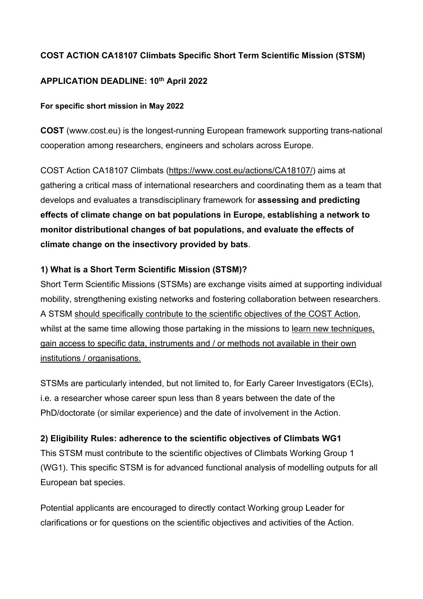### **COST ACTION CA18107 Climbats Specific Short Term Scientific Mission (STSM)**

#### **APPLICATION DEADLINE: 10th April 2022**

#### **For specific short mission in May 2022**

**COST** (www.cost.eu) is the longest-running European framework supporting trans-national cooperation among researchers, engineers and scholars across Europe.

COST Action CA18107 Climbats (https://www.cost.eu/actions/CA18107/) aims at gathering a critical mass of international researchers and coordinating them as a team that develops and evaluates a transdisciplinary framework for **assessing and predicting effects of climate change on bat populations in Europe, establishing a network to monitor distributional changes of bat populations, and evaluate the effects of climate change on the insectivory provided by bats**.

### **1) What is a Short Term Scientific Mission (STSM)?**

Short Term Scientific Missions (STSMs) are exchange visits aimed at supporting individual mobility, strengthening existing networks and fostering collaboration between researchers. A STSM should specifically contribute to the scientific objectives of the COST Action, whilst at the same time allowing those partaking in the missions to learn new techniques, gain access to specific data, instruments and / or methods not available in their own institutions / organisations.

STSMs are particularly intended, but not limited to, for Early Career Investigators (ECIs), i.e. a researcher whose career spun less than 8 years between the date of the PhD/doctorate (or similar experience) and the date of involvement in the Action.

#### **2) Eligibility Rules: adherence to the scientific objectives of Climbats WG1**

This STSM must contribute to the scientific objectives of Climbats Working Group 1 (WG1). This specific STSM is for advanced functional analysis of modelling outputs for all European bat species.

Potential applicants are encouraged to directly contact Working group Leader for clarifications or for questions on the scientific objectives and activities of the Action.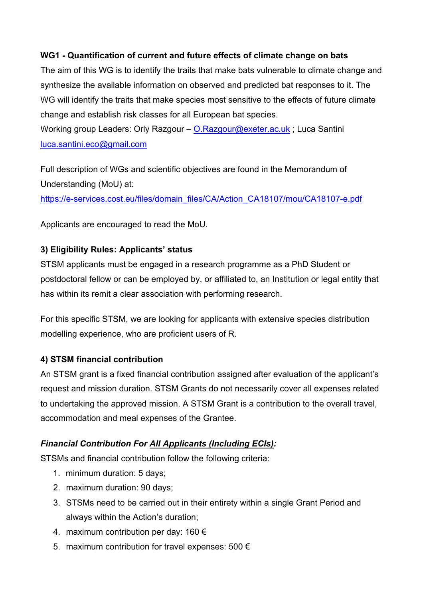#### **WG1 - Quantification of current and future effects of climate change on bats**

The aim of this WG is to identify the traits that make bats vulnerable to climate change and synthesize the available information on observed and predicted bat responses to it. The WG will identify the traits that make species most sensitive to the effects of future climate change and establish risk classes for all European bat species.

Working group Leaders: Orly Razgour – O.Razgour@exeter.ac.uk; Luca Santini luca.santini.eco@gmail.com

Full description of WGs and scientific objectives are found in the Memorandum of Understanding (MoU) at:

https://e-services.cost.eu/files/domain\_files/CA/Action\_CA18107/mou/CA18107-e.pdf

Applicants are encouraged to read the MoU.

### **3) Eligibility Rules: Applicants' status**

STSM applicants must be engaged in a research programme as a PhD Student or postdoctoral fellow or can be employed by, or affiliated to, an Institution or legal entity that has within its remit a clear association with performing research.

For this specific STSM, we are looking for applicants with extensive species distribution modelling experience, who are proficient users of R.

#### **4) STSM financial contribution**

An STSM grant is a fixed financial contribution assigned after evaluation of the applicant's request and mission duration. STSM Grants do not necessarily cover all expenses related to undertaking the approved mission. A STSM Grant is a contribution to the overall travel, accommodation and meal expenses of the Grantee.

### *Financial Contribution For All Applicants (Including ECIs):*

STSMs and financial contribution follow the following criteria:

- 1. minimum duration: 5 days;
- 2. maximum duration: 90 days;
- 3. STSMs need to be carried out in their entirety within a single Grant Period and always within the Action's duration;
- 4. maximum contribution per day:  $160 \in$
- 5. maximum contribution for travel expenses: 500  $\epsilon$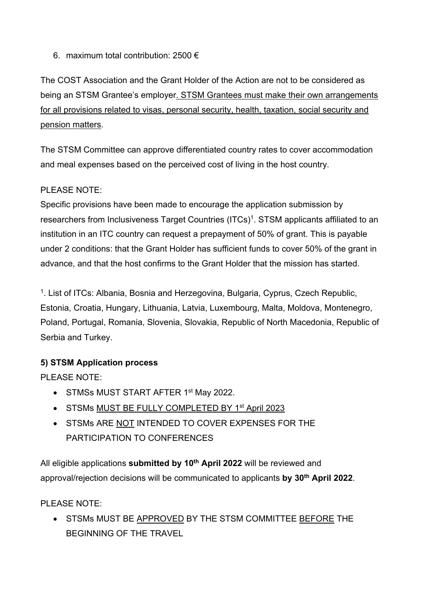6. maximum total contribution: 2500  $\epsilon$ 

The COST Association and the Grant Holder of the Action are not to be considered as being an STSM Grantee's employer. STSM Grantees must make their own arrangements for all provisions related to visas, personal security, health, taxation, social security and pension matters.

The STSM Committee can approve differentiated country rates to cover accommodation and meal expenses based on the perceived cost of living in the host country.

### PLEASE NOTE:

Specific provisions have been made to encourage the application submission by researchers from Inclusiveness Target Countries (ITCs)<sup>1</sup>. STSM applicants affiliated to an institution in an ITC country can request a prepayment of 50% of grant. This is payable under 2 conditions: that the Grant Holder has sufficient funds to cover 50% of the grant in advance, and that the host confirms to the Grant Holder that the mission has started.

<sup>1</sup>. List of ITCs: Albania, Bosnia and Herzegovina, Bulgaria, Cyprus, Czech Republic, Estonia, Croatia, Hungary, Lithuania, Latvia, Luxembourg, Malta, Moldova, Montenegro, Poland, Portugal, Romania, Slovenia, Slovakia, Republic of North Macedonia, Republic of Serbia and Turkey.

### **5) STSM Application process**

PLEASE NOTE:

- STMSs MUST START AFTER 1<sup>st</sup> May 2022.
- STSMs MUST BE FULLY COMPLETED BY 1<sup>st</sup> April 2023
- STSMs ARE NOT INTENDED TO COVER EXPENSES FOR THE PARTICIPATION TO CONFERENCES

All eligible applications **submitted by 10th April 2022** will be reviewed and approval/rejection decisions will be communicated to applicants **by 30th April 2022**.

#### PLEASE NOTE:

• STSMs MUST BE APPROVED BY THE STSM COMMITTEE BEFORE THE BEGINNING OF THE TRAVEL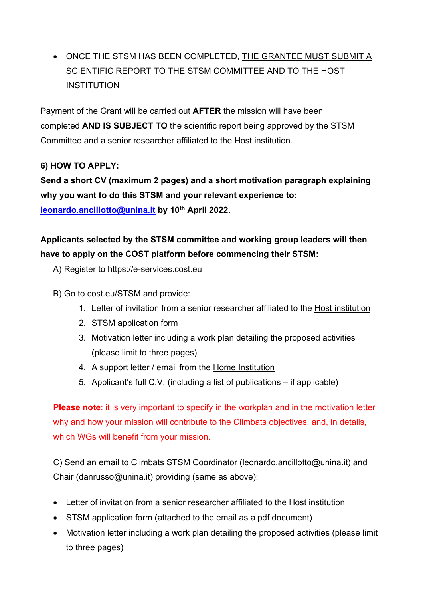• ONCE THE STSM HAS BEEN COMPLETED, THE GRANTEE MUST SUBMIT A SCIENTIFIC REPORT TO THE STSM COMMITTEE AND TO THE HOST INSTITUTION

Payment of the Grant will be carried out **AFTER** the mission will have been completed **AND IS SUBJECT TO** the scientific report being approved by the STSM Committee and a senior researcher affiliated to the Host institution.

## **6) HOW TO APPLY:**

**Send a short CV (maximum 2 pages) and a short motivation paragraph explaining why you want to do this STSM and your relevant experience to: leonardo.ancillotto@unina.it by 10th April 2022.**

# **Applicants selected by the STSM committee and working group leaders will then have to apply on the COST platform before commencing their STSM:**

- A) Register to https://e-services.cost.eu
- B) Go to cost.eu/STSM and provide:
	- 1. Letter of invitation from a senior researcher affiliated to the Host institution
	- 2. STSM application form
	- 3. Motivation letter including a work plan detailing the proposed activities (please limit to three pages)
	- 4. A support letter / email from the Home Institution
	- 5. Applicant's full C.V. (including a list of publications if applicable)

**Please note:** it is very important to specify in the workplan and in the motivation letter why and how your mission will contribute to the Climbats objectives, and, in details, which WGs will benefit from your mission.

C) Send an email to Climbats STSM Coordinator (leonardo.ancillotto@unina.it) and Chair (danrusso@unina.it) providing (same as above):

- Letter of invitation from a senior researcher affiliated to the Host institution
- STSM application form (attached to the email as a pdf document)
- Motivation letter including a work plan detailing the proposed activities (please limit to three pages)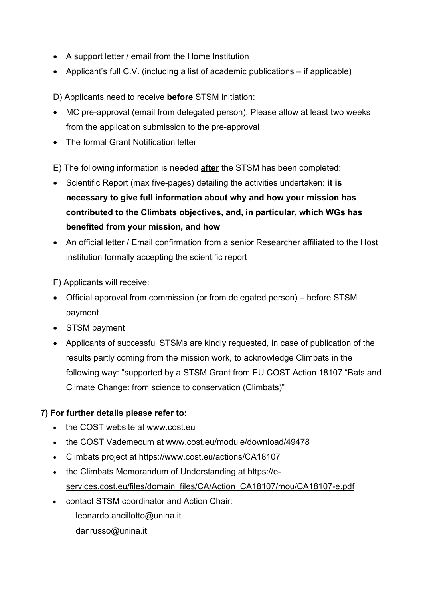- A support letter / email from the Home Institution
- Applicant's full C.V. (including a list of academic publications if applicable)

D) Applicants need to receive **before** STSM initiation:

- MC pre-approval (email from delegated person). Please allow at least two weeks from the application submission to the pre-approval
- The formal Grant Notification letter

E) The following information is needed **after** the STSM has been completed:

- Scientific Report (max five-pages) detailing the activities undertaken: **it is necessary to give full information about why and how your mission has contributed to the Climbats objectives, and, in particular, which WGs has benefited from your mission, and how**
- An official letter / Email confirmation from a senior Researcher affiliated to the Host institution formally accepting the scientific report

F) Applicants will receive:

- Official approval from commission (or from delegated person) before STSM payment
- STSM payment
- Applicants of successful STSMs are kindly requested, in case of publication of the results partly coming from the mission work, to acknowledge Climbats in the following way: "supported by a STSM Grant from EU COST Action 18107 "Bats and Climate Change: from science to conservation (Climbats)"

### **7) For further details please refer to:**

- the COST website at www.cost.eu
- the COST Vademecum at www.cost.eu/module/download/49478
- Climbats project at https://www.cost.eu/actions/CA18107
- the Climbats Memorandum of Understanding at https://eservices.cost.eu/files/domain\_files/CA/Action\_CA18107/mou/CA18107-e.pdf
- contact STSM coordinator and Action Chair: leonardo.ancillotto@unina.it danrusso@unina.it